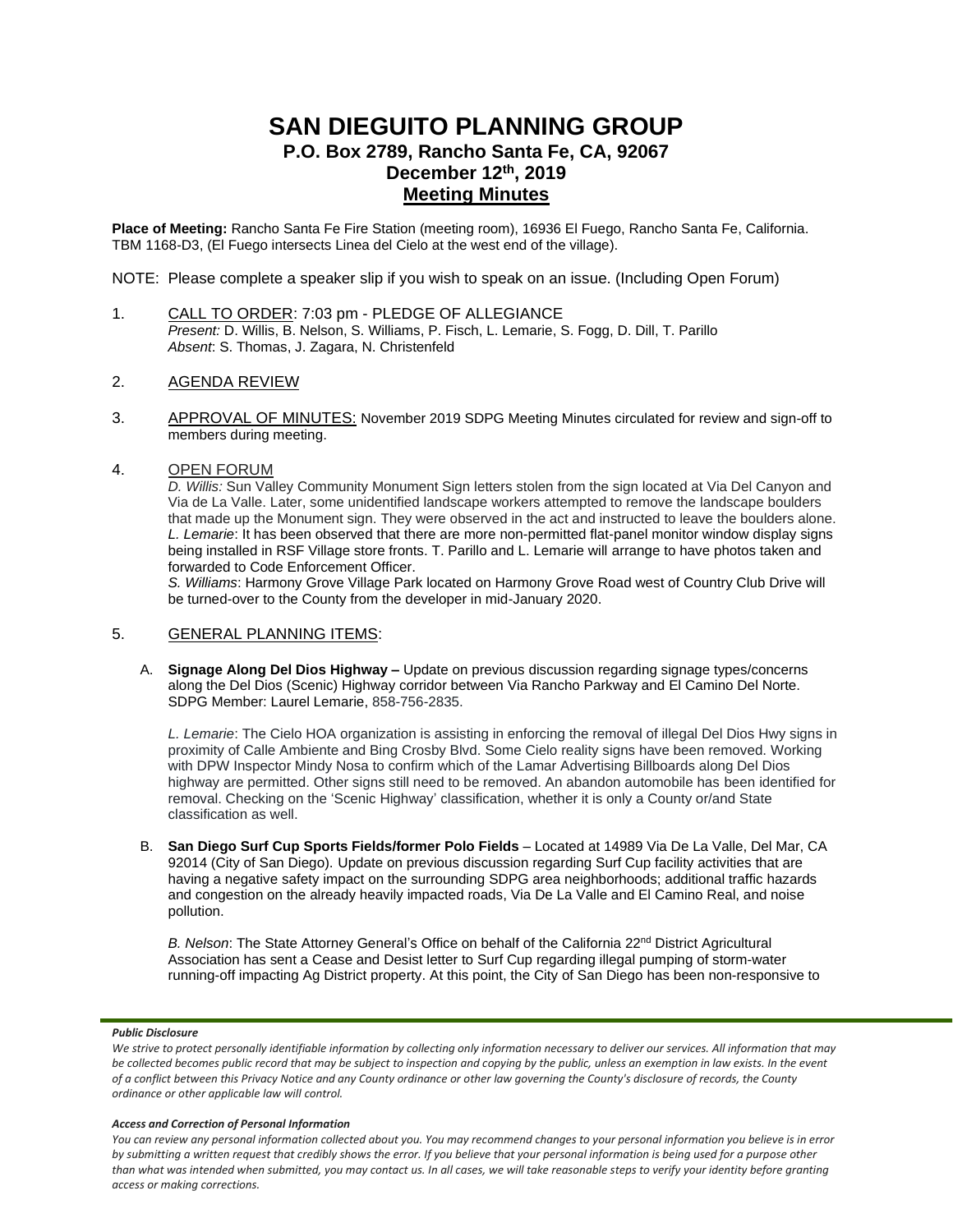# **SAN DIEGUITO PLANNING GROUP P.O. Box 2789, Rancho Santa Fe, CA, 92067 December 12 th, 2019 Meeting Minutes**

**Place of Meeting:** Rancho Santa Fe Fire Station (meeting room), 16936 El Fuego, Rancho Santa Fe, California. TBM 1168-D3, (El Fuego intersects Linea del Cielo at the west end of the village).

NOTE: Please complete a speaker slip if you wish to speak on an issue. (Including Open Forum)

1. CALL TO ORDER: 7:03 pm - PLEDGE OF ALLEGIANCE *Present:* D. Willis, B. Nelson, S. Williams, P. Fisch, L. Lemarie, S. Fogg, D. Dill, T. Parillo *Absent*: S. Thomas, J. Zagara, N. Christenfeld

### 2. AGENDA REVIEW

3. APPROVAL OF MINUTES: November 2019 SDPG Meeting Minutes circulated for review and sign-off to members during meeting.

## 4. OPEN FORUM

*D. Willis:* Sun Valley Community Monument Sign letters stolen from the sign located at Via Del Canyon and Via de La Valle. Later, some unidentified landscape workers attempted to remove the landscape boulders that made up the Monument sign. They were observed in the act and instructed to leave the boulders alone. *L. Lemarie*: It has been observed that there are more non-permitted flat-panel monitor window display signs being installed in RSF Village store fronts. T. Parillo and L. Lemarie will arrange to have photos taken and forwarded to Code Enforcement Officer.

*S. Williams*: Harmony Grove Village Park located on Harmony Grove Road west of Country Club Drive will be turned-over to the County from the developer in mid-January 2020.

### 5. GENERAL PLANNING ITEMS:

A. **Signage Along Del Dios Highway –** Update on previous discussion regarding signage types/concerns along the Del Dios (Scenic) Highway corridor between Via Rancho Parkway and El Camino Del Norte. SDPG Member: Laurel Lemarie, 858-756-2835.

*L. Lemarie*: The Cielo HOA organization is assisting in enforcing the removal of illegal Del Dios Hwy signs in proximity of Calle Ambiente and Bing Crosby Blvd. Some Cielo reality signs have been removed. Working with DPW Inspector Mindy Nosa to confirm which of the Lamar Advertising Billboards along Del Dios highway are permitted. Other signs still need to be removed. An abandon automobile has been identified for removal. Checking on the 'Scenic Highway' classification, whether it is only a County or/and State classification as well.

B. **San Diego Surf Cup Sports Fields/former Polo Fields** – Located at 14989 Via De La Valle, Del Mar, CA 92014 (City of San Diego). Update on previous discussion regarding Surf Cup facility activities that are having a negative safety impact on the surrounding SDPG area neighborhoods; additional traffic hazards and congestion on the already heavily impacted roads, Via De La Valle and El Camino Real, and noise pollution.

**B. Nelson: The State Attorney General's Office on behalf of the California 22<sup>nd</sup> District Agricultural** Association has sent a Cease and Desist letter to Surf Cup regarding illegal pumping of storm-water running-off impacting Ag District property. At this point, the City of San Diego has been non-responsive to

### *Public Disclosure*

### *Access and Correction of Personal Information*

*You can review any personal information collected about you. You may recommend changes to your personal information you believe is in error by submitting a written request that credibly shows the error. If you believe that your personal information is being used for a purpose other than what was intended when submitted, you may contact us. In all cases, we will take reasonable steps to verify your identity before granting access or making corrections.*

We strive to protect personally identifiable information by collecting only information necessary to deliver our services. All information that may *be collected becomes public record that may be subject to inspection and copying by the public, unless an exemption in law exists. In the event of a conflict between this Privacy Notice and any County ordinance or other law governing the County's disclosure of records, the County ordinance or other applicable law will control.*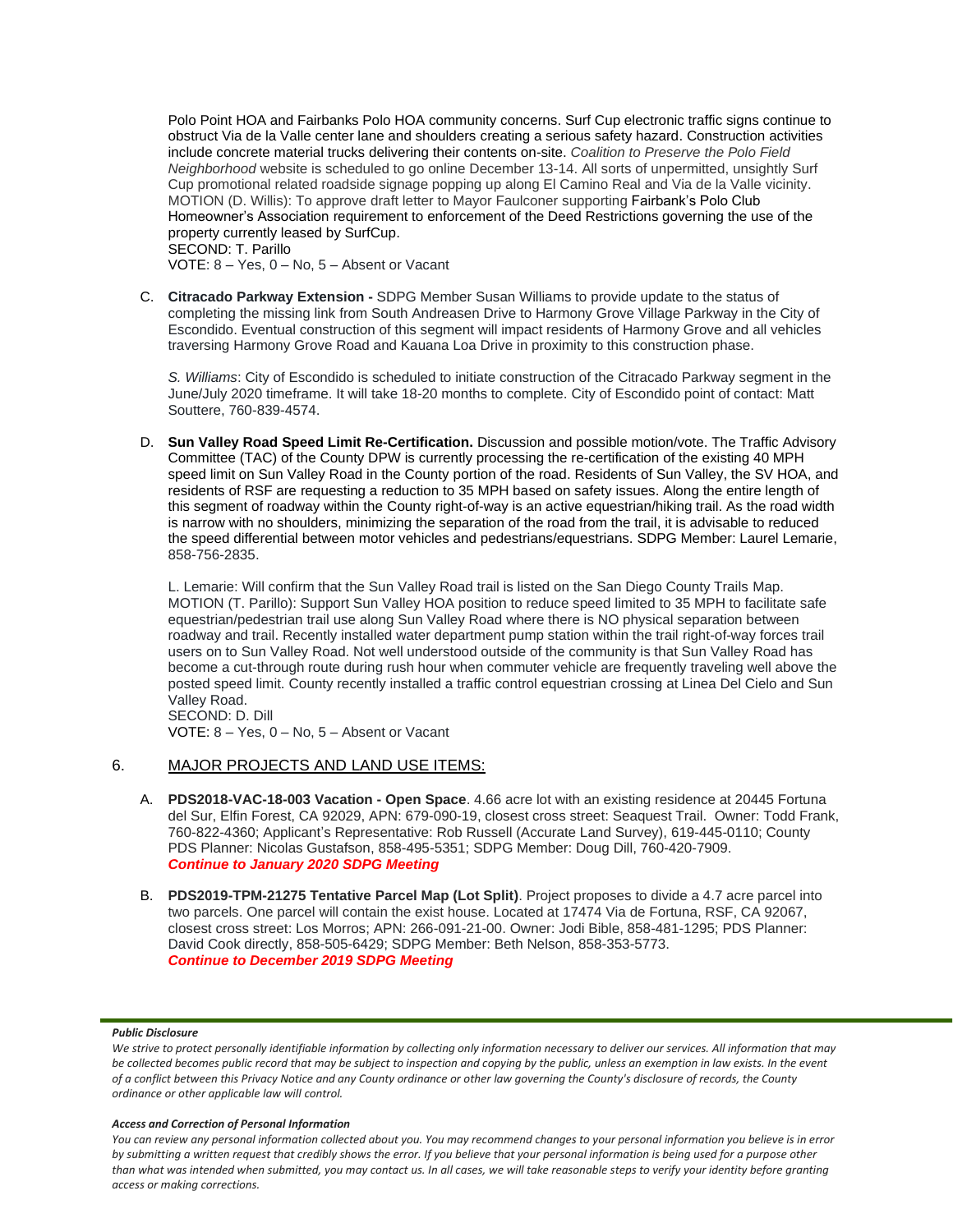Polo Point HOA and Fairbanks Polo HOA community concerns. Surf Cup electronic traffic signs continue to obstruct Via de la Valle center lane and shoulders creating a serious safety hazard. Construction activities include concrete material trucks delivering their contents on-site. *Coalition to Preserve the Polo Field Neighborhood* website is scheduled to go online December 13-14. All sorts of unpermitted, unsightly Surf Cup promotional related roadside signage popping up along El Camino Real and Via de la Valle vicinity. MOTION (D. Willis): To approve draft letter to Mayor Faulconer supporting Fairbank's Polo Club Homeowner's Association requirement to enforcement of the Deed Restrictions governing the use of the property currently leased by SurfCup. SECOND: T. Parillo

VOTE: 8 – Yes, 0 – No, 5 – Absent or Vacant

C. **Citracado Parkway Extension -** SDPG Member Susan Williams to provide update to the status of completing the missing link from South Andreasen Drive to Harmony Grove Village Parkway in the City of Escondido. Eventual construction of this segment will impact residents of Harmony Grove and all vehicles traversing Harmony Grove Road and Kauana Loa Drive in proximity to this construction phase.

*S. Williams*: City of Escondido is scheduled to initiate construction of the Citracado Parkway segment in the June/July 2020 timeframe. It will take 18-20 months to complete. City of Escondido point of contact: Matt Souttere, 760-839-4574.

D. **Sun Valley Road Speed Limit Re-Certification.** Discussion and possible motion/vote. The Traffic Advisory Committee (TAC) of the County DPW is currently processing the re-certification of the existing 40 MPH speed limit on Sun Valley Road in the County portion of the road. Residents of Sun Valley, the SV HOA, and residents of RSF are requesting a reduction to 35 MPH based on safety issues. Along the entire length of this segment of roadway within the County right-of-way is an active equestrian/hiking trail. As the road width is narrow with no shoulders, minimizing the separation of the road from the trail, it is advisable to reduced the speed differential between motor vehicles and pedestrians/equestrians. SDPG Member: Laurel Lemarie, 858-756-2835.

L. Lemarie: Will confirm that the Sun Valley Road trail is listed on the San Diego County Trails Map. MOTION (T. Parillo): Support Sun Valley HOA position to reduce speed limited to 35 MPH to facilitate safe equestrian/pedestrian trail use along Sun Valley Road where there is NO physical separation between roadway and trail. Recently installed water department pump station within the trail right-of-way forces trail users on to Sun Valley Road. Not well understood outside of the community is that Sun Valley Road has become a cut-through route during rush hour when commuter vehicle are frequently traveling well above the posted speed limit. County recently installed a traffic control equestrian crossing at Linea Del Cielo and Sun Valley Road. SECOND: D. Dill

VOTE: 8 – Yes, 0 – No, 5 – Absent or Vacant

# 6. MAJOR PROJECTS AND LAND USE ITEMS:

- A. **PDS2018-VAC-18-003 Vacation - Open Space**. 4.66 acre lot with an existing residence at 20445 Fortuna del Sur, Elfin Forest, CA 92029, APN: 679-090-19, closest cross street: Seaquest Trail. Owner: Todd Frank, 760-822-4360; Applicant's Representative: Rob Russell (Accurate Land Survey), 619-445-0110; County PDS Planner: Nicolas Gustafson, 858-495-5351; SDPG Member: Doug Dill, 760-420-7909. *Continue to January 2020 SDPG Meeting*
- B. **PDS2019-TPM-21275 Tentative Parcel Map (Lot Split)**. Project proposes to divide a 4.7 acre parcel into two parcels. One parcel will contain the exist house. Located at 17474 Via de Fortuna, RSF, CA 92067, closest cross street: Los Morros; APN: 266-091-21-00. Owner: Jodi Bible, 858-481-1295; PDS Planner: David Cook directly, 858-505-6429; SDPG Member: Beth Nelson, 858-353-5773. *Continue to December 2019 SDPG Meeting*

### *Public Disclosure*

### *Access and Correction of Personal Information*

*You can review any personal information collected about you. You may recommend changes to your personal information you believe is in error by submitting a written request that credibly shows the error. If you believe that your personal information is being used for a purpose other than what was intended when submitted, you may contact us. In all cases, we will take reasonable steps to verify your identity before granting access or making corrections.*

We strive to protect personally identifiable information by collecting only information necessary to deliver our services. All information that may *be collected becomes public record that may be subject to inspection and copying by the public, unless an exemption in law exists. In the event of a conflict between this Privacy Notice and any County ordinance or other law governing the County's disclosure of records, the County ordinance or other applicable law will control.*